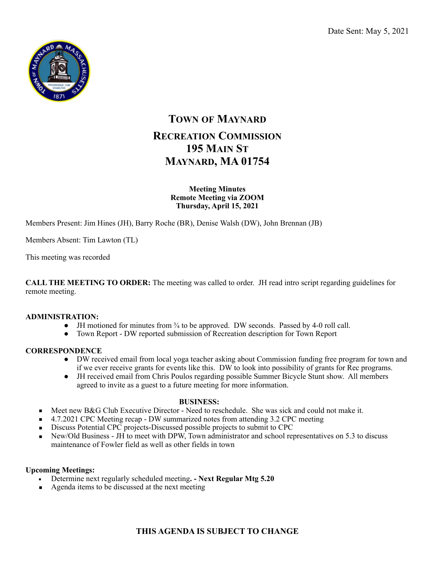

# **TOWN OF MAYNARD RECREATION COMMISSION 195 MAIN ST MAYNARD, MA 01754**

## **Meeting Minutes Remote Meeting via ZOOM Thursday, April 15, 2021**

Members Present: Jim Hines (JH), Barry Roche (BR), Denise Walsh (DW), John Brennan (JB)

Members Absent: Tim Lawton (TL)

This meeting was recorded

**CALL THE MEETING TO ORDER:** The meeting was called to order. JH read intro script regarding guidelines for remote meeting.

## **ADMINISTRATION:**

- $\bullet$  JH motioned for minutes from  $\frac{3}{4}$  to be approved. DW seconds. Passed by 4-0 roll call.
- Town Report DW reported submission of Recreation description for Town Report

# **CORRESPONDENCE**

- DW received email from local yoga teacher asking about Commission funding free program for town and if we ever receive grants for events like this. DW to look into possibility of grants for Rec programs.
- JH received email from Chris Poulos regarding possible Summer Bicycle Stunt show. All members agreed to invite as a guest to a future meeting for more information.

## **BUSINESS:**

- Meet new B&G Club Executive Director Need to reschedule. She was sick and could not make it.
- 4.7.2021 CPC Meeting recap DW summarized notes from attending 3.2 CPC meeting
- Discuss Potential CPC projects-Discussed possible projects to submit to CPC
- New/Old Business JH to meet with DPW, Town administrator and school representatives on 5.3 to discuss maintenance of Fowler field as well as other fields in town

## **Upcoming Meetings:**

- Determine next regularly scheduled meeting**. Next Regular Mtg 5.20**
- Agenda items to be discussed at the next meeting